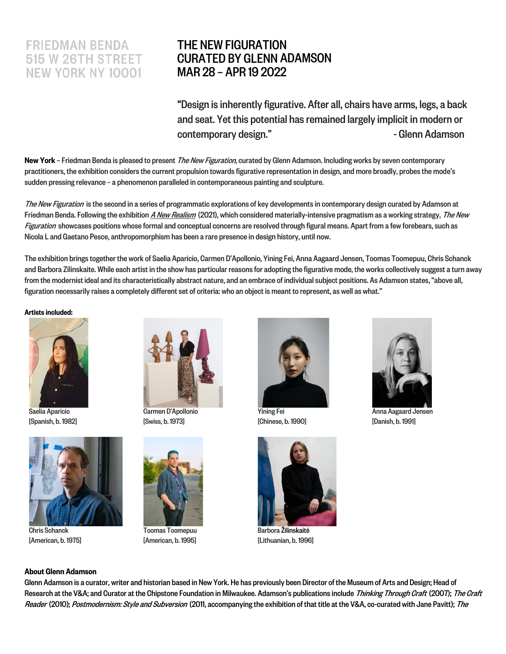## **FRIEDMAN BENDA 515 W 26TH STREET NEW YORK NY 10001**

## THE NEW FIGURATION CURATED BY GLENN ADAMSON MAR 28 – APR 19 2022

"Design is inherently figurative. After all, chairs have arms, legs, a back and seat. Yet this potential has remained largely implicit in modern or contemporary design." The Contemporary designed by the Contemporary designed by the Contemporary designed by the Contemporary designed by  $\sim$  Glenn Adamson

New York – Friedman Benda is pleased to present *The New Figuration*, curated by Glenn Adamson. Including works by seven contemporary practitioners, the exhibition considers the current propulsion towards figurative representation in design, and more broadly, probes the mode's sudden pressing relevance - a phenomenon paralleled in contemporaneous painting and sculpture.

The New Figuration is the second in a series of programmatic explorations of key developments in contemporary design curated by Adamson at Friedman Benda. Following the exhibition [A New Realism](https://www.friedmanbenda.com/exhibitions/a-new-realism-curated-by-glenn-adamson/) (2021), which considered materially-intensive pragmatism as a working strategy, The New Figuration showcases positions whose formal and conceptual concerns are resolved through figural means. Apart from a few forebears, such as Nicola L and Gaetano Pesce, anthropomorphism has been a rare presence in design history, until now.

The exhibition brings together the work of Saelia Aparicio, Carmen D'Apollonio, Yining Fei, Anna Aagaard Jensen, Toomas Toomepuu, Chris Schanck and Barbora Zilinskaite. While each artist in the show has particular reasons for adopting the figurative mode, the works collectively suggest a turn away from the modernist ideal and its characteristically abstract nature, and an embrace of individual subject positions. As Adamson states, "above all, figuration necessarily raises a completely different set of criteria: who an object is meant to represent, as well as what."

Artists included:



Saelia Aparicio [Spanish, b. 1982]



Chris Schanck [American, b. 1975]



Carmen D'Apollonio [Swiss, b. 1973]



[American, b. 1995]



Yining Fei [Chinese, b. 1990]



[Lithuanian, b. 1996]



Anna Aagaard Jensen [Danish, b. 1991]

## About Glenn Adamson

Glenn Adamson is a curator, writer and historian based in New York. He has previously been Director of the Museum of Arts and Design; Head of Research at the V&A; and Curator at the Chipstone Foundation in Milwaukee. Adamson's publications include Thinking Through Craft (2007); The Craft Reader (2010); Postmodernism: Style and Subversion (2011, accompanying the exhibition of that title at the V&A, co-curated with Jane Pavitt); The